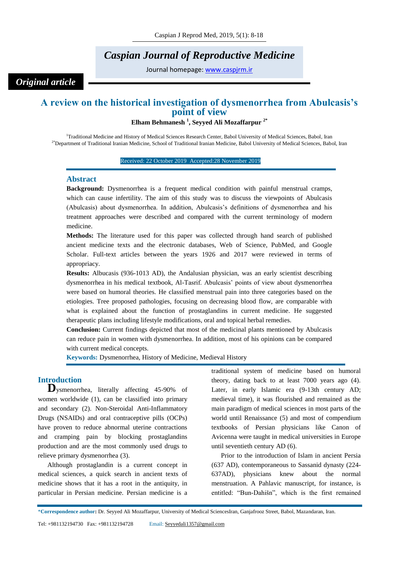# *Caspian Journal of Reproductive Medicine*

Journal homepage: [www.caspjrm.ir](http://www.caspjrm.ir/)

# *Original article*

## **A review on the historical investigation of dysmenorrhea from Abulcasis's point of view**

**Elham Behmanesh <sup>1</sup> , Seyyed Ali Mozaffarpur 2\***

<sup>1</sup>Traditional Medicine and History of Medical Sciences Research Center, Babol University of Medical Sciences, Babol, Iran <sup>2\*</sup>Department of Traditional Iranian Medicine, School of Traditional Iranian Medicine, Babol University of Medical Sciences, Babol, Iran

#### Received: 22 October 2019 Accepted: 28 November 2019

## **Abstract**

**Background:** Dysmenorrhea is a frequent medical condition with painful menstrual cramps, which can cause infertility. The aim of this study was to discuss the viewpoints of Abulcasis (Abulcasis) about dysmenorrhea. In addition, Abulcasis's definitions of dysmenorrhea and his treatment approaches were described and compared with the current terminology of modern medicine.

**Methods:** The literature used for this paper was collected through hand search of published ancient medicine texts and the electronic databases, Web of Science, PubMed, and Google Scholar. Full-text articles between the years 1926 and 2017 were reviewed in terms of appropriacy.

**Results:** Albucasis (936-1013 AD), the Andalusian physician, was an early scientist describing dysmenorrhea in his medical textbook, Al-Tasrif. Abulcasis' points of view about dysmenorrhea were based on humoral theories. He classified menstrual pain into three categories based on the etiologies. Tree proposed pathologies, focusing on decreasing blood flow, are comparable with what is explained about the function of prostaglandins in current medicine. He suggested therapeutic plans including lifestyle modifications, oral and topical herbal remedies.

**Conclusion:** Current findings depicted that most of the medicinal plants mentioned by Abulcasis can reduce pain in women with dysmenorrhea. In addition, most of his opinions can be compared with current medical concepts.

**Keywords:** Dysmenorrhea, History of Medicine, Medieval History

## **Introduction**

**D**ysmenorrhea, literally affecting 45-90% of women worldwide (1), can be classified into primary and secondary (2). Non-Steroidal Anti-Inflammatory Drugs (NSAIDs) and oral contraceptive pills (OCPs) have proven to reduce abnormal uterine contractions and cramping pain by blocking prostaglandins production and are the most commonly used drugs to relieve primary dysmenorrhea (3).

Although prostaglandin is a current concept in medical sciences, a quick search in ancient texts of medicine shows that it has a root in the antiquity, in particular in Persian medicine. Persian medicine is a

traditional system of medicine based on humoral theory, dating back to at least 7000 years ago (4). Later, in early Islamic era (9-13th century AD; medieval time), it was flourished and remained as the main paradigm of medical sciences in most parts of the world until Renaissance (5) and most of compendium textbooks of Persian physicians like Canon of Avicenna were taught in medical universities in Europe until seventieth century AD (6).

Prior to the introduction of Islam in ancient Persia (637 AD), contemporaneous to Sassanid dynasty (224- 637AD), physicians knew about the normal menstruation. A Pahlavic manuscript, for instance, is entitled: "Bun-Dahišn", which is the first remained

\***Correspondence author:** Dr. Seyyed Ali Mozaffarpur, University of Medical SciencesIran, Ganjafrooz Street, Babol, Mazandaran, Iran.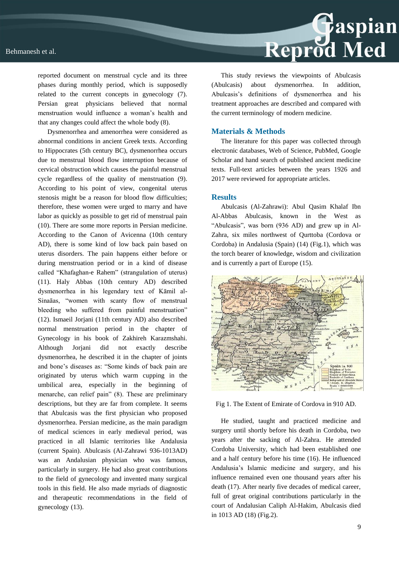

reported document on menstrual cycle and its three phases during monthly period, which is supposedly related to the current concepts in gynecology (7). Persian great physicians believed that normal menstruation would influence a woman's health and that any changes could affect the whole body (8).

Dysmenorrhea and amenorrhea were considered as abnormal conditions in ancient Greek texts. According to Hippocrates (5th century BC), dysmenorrhea occurs due to menstrual blood flow interruption because of cervical obstruction which causes the painful menstrual cycle regardless of the quality of menstruation (9). According to his point of view, congenital uterus stenosis might be a reason for blood flow difficulties; therefore, these women were urged to marry and have labor as quickly as possible to get rid of menstrual pain (10). There are some more reports in Persian medicine. According to the Canon of Avicenna (10th century AD), there is some kind of low back pain based on uterus disorders. The pain happens either before or during menstruation period or in a kind of disease called "Khafaghan-e Rahem" (strangulation of uterus) (11). Haly Abbas (10th century AD) described dysmenorrhea in his legendary text of Kāmil al-Sinaāas, "women with scanty flow of menstrual bleeding who suffered from painful menstruation" (12). Ismaeil Jorjani (11th century AD) also described normal menstruation period in the chapter of Gynecology in his book of Zakhireh Karazmshahi. Although Jorjani did not exactly describe dysmenorrhea, he described it in the chapter of joints and bone's diseases as: "Some kinds of back pain are originated by uterus which warm cupping in the umbilical area, especially in the beginning of menarche, can relief pain" (8). These are preliminary descriptions, but they are far from complete. It seems that Abulcasis was the first physician who proposed dysmenorrhea. Persian medicine, as the main paradigm of medical sciences in early medieval period, was practiced in all Islamic territories like Andalusia (current Spain). Abulcasis (Al-Zahrawi 936-1013AD) was an Andalusian physician who was famous, particularly in surgery. He had also great contributions to the field of gynecology and invented many surgical tools in this field. He also made myriads of diagnostic and therapeutic recommendations in the field of gynecology (13).

This study reviews the viewpoints of Abulcasis (Abulcasis) about dysmenorrhea. In addition, Abulcasis's definitions of dysmenorrhea and his treatment approaches are described and compared with the current terminology of modern medicine.

### **Materials & Methods**

The literature for this paper was collected through electronic databases, Web of Science, PubMed, Google Scholar and hand search of published ancient medicine texts. Full-text articles between the years 1926 and 2017 were reviewed for appropriate articles.

### **Results**

Abulcasis (Al-Zahrawi): Abul Qasim Khalaf Ibn Al-Abbas Abulcasis, known in the West as "Abulcasis", was born (936 AD) and grew up in Al-Zahra, six miles northwest of Qurttoba (Cordova or Cordoba) in Andalusia (Spain) (14) (Fig.1), which was the torch bearer of knowledge, wisdom and civilization and is currently a part of Europe (15).



Fig 1. The Extent of Emirate of Cordova in 910 AD.

He studied, taught and practiced medicine and surgery until shortly before his death in Cordoba, two years after the sacking of Al-Zahra. He attended Cordoba University, which had been established one and a half century before his time (16). He influenced Andalusia's Islamic medicine and surgery, and his influence remained even one thousand years after his death (17). After nearly five decades of medical career, full of great original contributions particularly in the court of Andalusian Caliph Al-Hakim, Abulcasis died in 1013 AD (18) (Fig.2).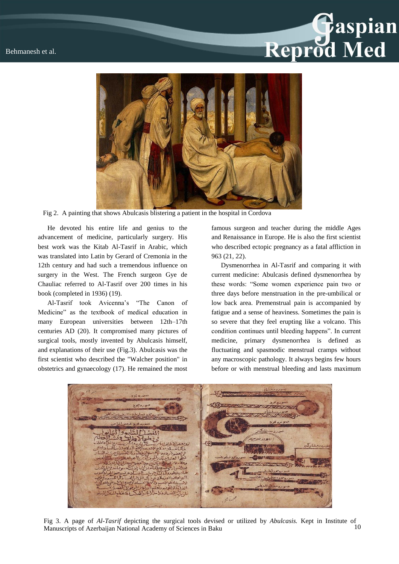# Reprod Med



Fig 2. A painting that shows Abulcasis blistering a patient in the hospital in Cordova

He devoted his entire life and genius to the advancement of medicine, particularly surgery. His best work was the Kitab Al-Tasrif in Arabic, which was translated into Latin by Gerard of Cremonia in the 12th century and had such a tremendous influence on surgery in the West. The French surgeon Gye de Chauliac referred to Al-Tasrif over 200 times in his book (completed in 1936) (19).

Al-Tasrif took Avicenna's "The Canon of Medicine" as the textbook of medical education in many European universities between 12th–17th centuries AD (20). It compromised many pictures of surgical tools, mostly invented by Abulcasis himself, and explanations of their use (Fig.3). Abulcasis was the first scientist who described the "Walcher position" in obstetrics and gynaecology (17). He remained the most

famous surgeon and teacher during the middle Ages and Renaissance in Europe. He is also the first scientist who described ectopic pregnancy as a fatal affliction in 963 (21, 22).

Dysmenorrhea in Al-Tasrif and comparing it with current medicine: Abulcasis defined dysmenorrhea by these words: "Some women experience pain two or three days before menstruation in the pre-umbilical or low back area. Premenstrual pain is accompanied by fatigue and a sense of heaviness. Sometimes the pain is so severe that they feel erupting like a volcano. This condition continues until bleeding happens". In current medicine, primary dysmenorrhea is defined as fluctuating and spasmodic menstrual cramps without any macroscopic pathology. It always begins few hours before or with menstrual bleeding and lasts maximum



10 Fig 3. A page of *Al-Tasrif* depicting the surgical tools devised or utilized by *Abulcasis.* Kept in Institute of Manuscripts of Azerbaijan National Academy of Sciences in Baku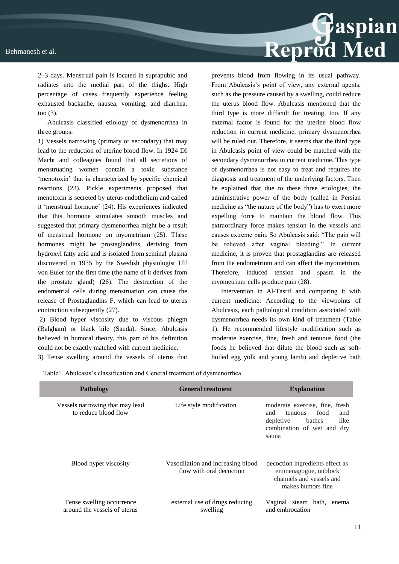

2–3 days. Menstrual pain is located in suprapubic and radiates into the medial part of the thighs. High percentage of cases frequently experience feeling exhausted backache, nausea, vomiting, and diarrhea, too (3).

Abulcasis classified etiology of dysmenorrhea in three groups:

1) Vessels narrowing (primary or secondary) that may lead to the reduction of uterine blood flow. In 1924 DI Macht and colleagues found that all secretions of menstruating women contain a toxic substance 'menotoxin' that is characterized by specific chemical reactions (23). Pickle experiments proposed that menotoxin is secreted by uterus endothelium and called it 'menstrual hormone' (24). His experiences indicated that this hormone stimulates smooth muscles and suggested that primary dysmenorrhea might be a result of menstrual hormone on myometrium (25). These hormones might be prostaglandins, deriving from hydroxyl fatty acid and is isolated from seminal plasma discovered in 1935 by the Swedish physiologist Ulf von Euler for the first time (the name of it derives from the prostate gland) (26). The destruction of the endometrial cells during menstruation can cause the release of Prostaglandins F, which can lead to uterus contraction subsequently (27).

2) Blood hyper viscosity due to viscous phlegm (Balgham) or black bile (Sauda). Since, Abulcasis believed in humoral theory, this part of his definition could not be exactly matched with current medicine.

3) Tense swelling around the vessels of uterus that

prevents blood from flowing in its usual pathway. From Abulcasis's point of view, any external agents, such as the pressure caused by a swelling, could reduce the uterus blood flow. Abulcasis mentioned that the third type is more difficult for treating, too. If any external factor is found for the uterine blood flow reduction in current medicine, primary dysmenorrhea will be ruled out. Therefore, it seems that the third type in Abulcasis point of view could be matched with the secondary dysmenorrhea in current medicine. This type of dysmenorrhea is not easy to treat and requires the diagnosis and treatment of the underlying factors. Then he explained that due to these three etiologies, the administrative power of the body (called in Persian medicine as "the nature of the body") has to exert more expelling force to maintain the blood flow. This extraordinary force makes tension in the vessels and causes extreme pain. So Abulcasis said: "The pain will be relieved after vaginal bleeding." In current medicine, it is proven that prostaglandins are released from the endometrium and can affect the myometrium. Therefore, induced tension and spasm in the myometrium cells produce pain (28).

Intervention in Al-Tasrif and comparing it with current medicine: According to the viewpoints of Abulcasis, each pathological condition associated with dysmenorrhea needs its own kind of treatment (Table 1). He recommended lifestyle modification such as moderate exercise, fine, fresh and tenuous food (the foods he believed that dilute the blood such as softboiled egg yolk and young lamb) and depletive bath

Table1. Abulcasis's classification and General treatment of dysmenorrhea

| <b>Pathology</b>                                          | <b>General treatment</b>                                      | <b>Explanation</b>                                                                                                                    |  |  |
|-----------------------------------------------------------|---------------------------------------------------------------|---------------------------------------------------------------------------------------------------------------------------------------|--|--|
| Vessels narrowing that may lead<br>to reduce blood flow   | Life style modification                                       | moderate exercise, fine, fresh<br>and<br>food<br>and<br>tenuous<br>like<br>depletive<br>bathes<br>combination of wet and dry<br>sauna |  |  |
| Blood hyper viscosity                                     | Vasodilation and increasing blood<br>flow with oral decoction | decoction ingredients effect as<br>emmenagogue, unblock<br>channels and vessels and<br>makes humors fine                              |  |  |
| Tense swelling occurrence<br>around the vessels of uterus | external use of drugs reducing<br>swelling                    | Vaginal steam bath,<br>enema<br>and embrocation                                                                                       |  |  |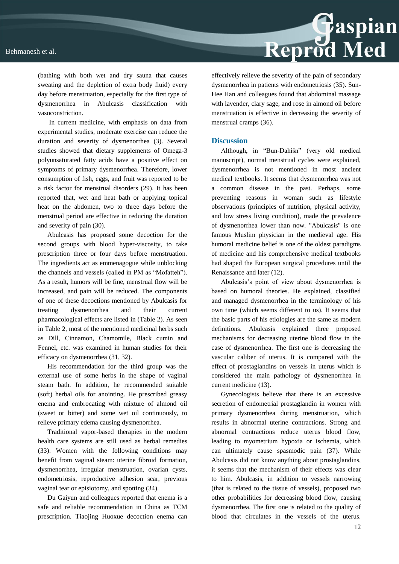

(bathing with both wet and dry sauna that causes sweating and the depletion of extra body fluid) every day before menstruation, especially for the first type of dysmenorrhea in Abulcasis classification with vasoconstriction.

In current medicine, with emphasis on data from experimental studies, moderate exercise can reduce the duration and severity of dysmenorrhea (3). Several studies showed that dietary supplements of Omega-3 polyunsaturated fatty acids have a positive effect on symptoms of primary dysmenorrhea. Therefore, lower consumption of fish, eggs, and fruit was reported to be a risk factor for menstrual disorders (29). It has been reported that, wet and heat bath or applying topical heat on the abdomen, two to three days before the menstrual period are effective in reducing the duration and severity of pain (30).

Abulcasis has proposed some decoction for the second groups with blood hyper-viscosity, to take prescription three or four days before menstruation. The ingredients act as emmenagogue while unblocking the channels and vessels (called in PM as "Mofatteh"). As a result, humors will be fine, menstrual flow will be increased, and pain will be reduced. The components of one of these decoctions mentioned by Abulcasis for treating dysmenorrhea and their current pharmacological effects are listed in (Table 2). As seen in Table 2, most of the mentioned medicinal herbs such as Dill, Cinnamon, Chamomile, Black cumin and Fennel, etc. was examined in human studies for their efficacy on dysmenorrhea (31, 32).

His recommendation for the third group was the external use of some herbs in the shape of vaginal steam bath. In addition, he recommended suitable (soft) herbal oils for anointing. He prescribed greasy enema and embrocating with mixture of almond oil (sweet or bitter) and some wet oil continuously, to relieve primary edema causing dysmenorrhea.

Traditional vapor-based therapies in the modern health care systems are still used as herbal remedies (33). Women with the following conditions may benefit from vaginal steam: uterine fibroid formation, dysmenorrhea, irregular menstruation, ovarian cysts, endometriosis, reproductive adhesion scar, previous vaginal tear or episiotomy, and spotting (34).

Du Gaiyun and colleagues reported that enema is a safe and reliable recommendation in China as TCM prescription. Tiaojing Huoxue decoction enema can effectively relieve the severity of the pain of secondary dysmenorrhea in patients with endometriosis (35). Sun-Hee Han and colleagues found that abdominal massage with lavender, clary sage, and rose in almond oil before menstruation is effective in decreasing the severity of menstrual cramps (36).

### **Discussion**

Although, in "Bun-Dahišn" (very old medical manuscript), normal menstrual cycles were explained, dysmenorrhea is not mentioned in most ancient medical textbooks. It seems that dysmenorrhea was not a common disease in the past. Perhaps, some preventing reasons in woman such as lifestyle observations (principles of nutrition, physical activity, and low stress living condition), made the prevalence of dysmenorrhea lower than now. "Abulcasis" is one famous Muslim physician in the medieval age. His humoral medicine belief is one of the oldest paradigms of medicine and his comprehensive medical textbooks had shaped the European surgical procedures until the Renaissance and later (12).

Abulcasis's point of view about dysmenorrhea is based on humoral theories. He explained, classified and managed dysmenorrhea in the terminology of his own time (which seems different to us). It seems that the basic parts of his etiologies are the same as modern definitions. Abulcasis explained three proposed mechanisms for decreasing uterine blood flow in the case of dysmenorrhea. The first one is decreasing the vascular caliber of uterus. It is compared with the effect of prostaglandins on vessels in uterus which is considered the main pathology of dysmenorrhea in current medicine (13).

Gynecologists believe that there is an excessive secretion of endometrial prostaglandin in women with primary dysmenorrhea during menstruation, which results in abnormal uterine contractions. Strong and abnormal contractions reduce uterus blood flow, leading to myometrium hypoxia or ischemia, which can ultimately cause spasmodic pain (37). While Abulcasis did not know anything about prostaglandins, it seems that the mechanism of their effects was clear to him. Abulcasis, in addition to vessels narrowing (that is related to the tissue of vessels), proposed two other probabilities for decreasing blood flow, causing dysmenorrhea. The first one is related to the quality of blood that circulates in the vessels of the uterus.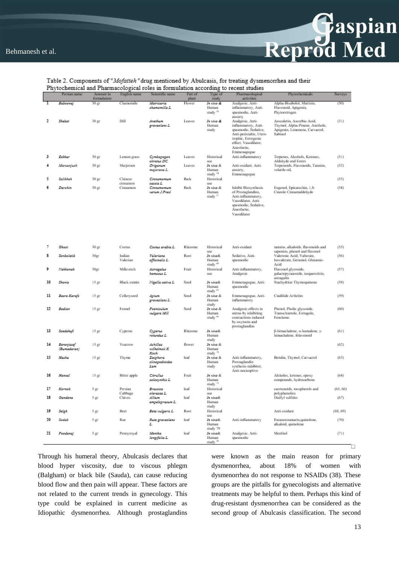

### Table 2. Components of "Mofatteh" drug mentioned by Abulcasis, for treating dysmenorrhea and their Phytochemical and Pharmacological roles in formulation according to recent studies

|    | Persian name | Amount in<br>formulation | English name       | Scientific name             | Part of<br>plant | Type of<br>study             | Pharmacological<br>activities                | Phytochemicals                                                 | Surveys  |
|----|--------------|--------------------------|--------------------|-----------------------------|------------------|------------------------------|----------------------------------------------|----------------------------------------------------------------|----------|
|    | Βαδοοπαί     | 30 ஜா                    | Chamomile          | Matricaria                  | Flower           | In vivo &                    | Analgesic, Anti-                             | Alpha-Bisabolol, Matrisin,                                     | (50)     |
|    |              |                          |                    | chamomilla L.               |                  | Human                        | inflammatory, Anti-                          | Flavonoid, Apigenin,                                           |          |
|    |              |                          |                    |                             |                  | study <sup>50</sup>          | spasmodie, Anti-                             | Phytoestrogen                                                  |          |
| 2  | Skabet       | $30\,\mathrm{gr}$        | Dill               | Anathum                     | Leaves           | In vivo &                    | anxiety<br>Analgesic, Anti-                  | Aesculetin, Ascorbic-Acid,                                     | (31)     |
|    |              |                          |                    | graveolans L.               |                  | Human                        | inflammatory, Anti-                          | Thymol, Alpha-Pinene, Anethole,                                |          |
|    |              |                          |                    |                             |                  | study                        | spasmodie, Sedative,                         | Apigenin, Limonene, Carvaerol,                                 |          |
|    |              |                          |                    |                             |                  |                              | Anti-peristaltic, Utero                      | Sabinol                                                        |          |
|    |              |                          |                    |                             |                  |                              | trophic, Estrogenic                          |                                                                |          |
|    |              |                          |                    |                             |                  |                              | effect, Vasodilator,                         |                                                                |          |
|    |              |                          |                    |                             |                  |                              | Anesthetic.<br>Emmenagogue                   |                                                                |          |
| з  | Ezkhar       | 30 ஜா                    | Lemon grass        | Cymbopogon                  | Leaves           | Historical                   | Anti-inflammatory                            | Terpenes, Alcohols, Ketones,                                   | (51)     |
|    |              |                          |                    | citratus DC.                |                  | use                          |                                              | Aldehyde and Esters                                            |          |
| 4  | Marzanjusk   | $30 \,\mathrm{gr}$       | Marjoram           | Origanum                    | Leaves           | In vivo &                    | Anti-oxidant, Anti-                          | Terpenoids, Flavonoids, Tannins,                               | (52)     |
|    |              |                          |                    | majorana L.                 |                  | Human<br>study <sup>54</sup> | anxiety,                                     | volatile oil,                                                  |          |
| 5  | Salikhah     | 30 ஜா                    | Chinese            | Cinnamomum                  | <b>Bark</b>      | Historical                   | Emmenagogue                                  |                                                                | (53)     |
|    |              |                          | cinnamon           | cassia L.                   |                  | use                          |                                              |                                                                |          |
| 6  | Darchin      | 30 ஜா                    | Cinnamon           | Cinnamomum                  | Bark             | In vivo &                    | Inhibit Biosynthesis                         | Eugenol, Epicatechin, 1,8-                                     | (54)     |
|    |              |                          |                    | verwm J.Presi               |                  | Human                        | of Prostaglandins,                           | Cineole Cinnamaldehyde                                         |          |
|    |              |                          |                    |                             |                  | study <sup>57</sup>          | Anti-inflammatory,                           |                                                                |          |
|    |              |                          |                    |                             |                  |                              | Vasodilator, Anti-<br>spasmodie, Sedative,   |                                                                |          |
|    |              |                          |                    |                             |                  |                              | Anesthetic,                                  |                                                                |          |
|    |              |                          |                    |                             |                  |                              | Vasodilator                                  |                                                                |          |
|    |              |                          |                    |                             |                  |                              |                                              |                                                                |          |
|    |              |                          |                    |                             |                  |                              |                                              |                                                                |          |
|    |              |                          |                    |                             |                  |                              |                                              |                                                                |          |
|    |              |                          |                    |                             |                  |                              |                                              |                                                                |          |
|    |              |                          |                    |                             |                  |                              |                                              |                                                                |          |
| 7  | Ghast        | 30 ஜா                    | Costus             | Costus arabia L.            | Rhizome          | Historical                   | Anti-oxidant                                 | tannins, alkaloids, flavonoids and                             | (55)     |
|    |              |                          |                    |                             |                  | use                          |                                              | saponins, phenol and flavonol                                  |          |
| 8  | Somboletib   | 30 <sub>57</sub>         | Indian<br>Valerian | Valeriana<br>officinalis L. | Root             | In vivo&<br>Human            | Sedative, Anti-<br>spasmodie                 | Valerenic Acid, Valterate,<br>Isovalerate, Geraniol, Glutamic- | (56)     |
|    |              |                          |                    |                             |                  | study <sup>60</sup>          |                                              | Acid                                                           |          |
| 9  | Nakhonak     | 30 <sub>57</sub>         | Milkvetch          | Astragalus                  | Fruit            | Historical                   | Anti-inflammatory,                           | Flavonol glycoside,                                            | (57)     |
|    |              |                          |                    | hamasus L.                  |                  | use                          | Analgesic                                    | galactopyranoside, isoquercitrin,                              |          |
|    |              |                          |                    |                             |                  |                              |                                              | astragalin                                                     |          |
| 10 | Shomiz       | 15 <sub>ST</sub>         | Black cumin        | Nigella sativa L.           | Seed             | In vivo&<br>Human            | Emmenagogue, Anti-<br>spasmodie              | Stachydrine Thymoquinone                                       | (58)     |
|    |              |                          |                    |                             |                  | study <sup>63</sup>          |                                              |                                                                |          |
| 11 | Bazre Karafs | 15 gr                    | Celleryseed        | Apium                       | Seed             | In vivo &                    | Emmenagogue, Anti-                           | Cnidilide Arthritin                                            | (59)     |
|    |              |                          |                    | graveolans L.               |                  | Human                        | inflammatory                                 |                                                                |          |
|    |              |                          |                    |                             |                  | study                        |                                              |                                                                |          |
| 12 | Badian       | 15 gr                    | Femnel             | Foaniculum<br>vulgare Mill  | Seed             | In vivo &<br>Human           | Analgesic effects in<br>uterus by inhibiting | Phenol, Pholic glycoside,<br>TranseAnetole, Estragole,         | (60)     |
|    |              |                          |                    |                             |                  | study <sup>56</sup>          | contractions induced                         | Fenchone.                                                      |          |
|    |              |                          |                    |                             |                  |                              | by oxytoein and                              |                                                                |          |
|    |              |                          |                    |                             |                  |                              | prostaglandins                               |                                                                |          |
| 13 | Soedekuft    | 15 gr                    | Cyperus            | Cyperus                     | Rhizome          | In vivo&                     |                                              | ß-himachalene, o-humulene, y-                                  | (61)     |
|    |              |                          |                    | rotundus L.                 |                  | Human<br>study               |                                              | himachalene, felavenoid                                        |          |
| 14 | Barenjasef   | 15 gr                    | Yourrow            | Achillea                    | flower           | In vivo &                    |                                              |                                                                | (62)     |
|    | (Bumadaran)  |                          |                    | wilhelmsii K                |                  | Human                        |                                              |                                                                |          |
|    |              |                          |                    | Kock                        |                  | study <sup>30</sup>          |                                              |                                                                |          |
| 15 | Haska        | 15 gr                    | Thyme              | Zizigkora                   | leaf             | In vivo &                    | Anti-inflammatory,                           | Betulin, Thymol, Carvacrol                                     | (63)     |
|    |              |                          |                    | clinopodioides<br>Lam       |                  | Human<br>study               | Prostaglandin<br>synthesis-inhibitor,        |                                                                |          |
|    |              |                          |                    |                             |                  |                              | Anti-nocioeptive                             |                                                                |          |
| 16 | Hanzal       | 15 gr                    | Bitter apple       | Citradius                   | Fruit            | In vivo &                    |                                              | Alcholes, ketones, epoxy                                       | (64)     |
|    |              |                          |                    | colocynthis L.              |                  | Human                        |                                              | compounds, hydrocarbons                                        |          |
|    |              |                          |                    |                             |                  | study <sup>72</sup>          |                                              |                                                                |          |
| 17 | Kornob       | 5 gr                     | Persian            | Brassica<br>oleracea L.     | leaf             | Historical<br><b>USC</b>     |                                              | carotenoids, tocopherols and                                   | (65, 66) |
| 18 | Gandana      | 5 gr                     | Cabbage<br>Chives  | Allium                      | leaf             | In vivo&                     |                                              | polyphenolics<br>Diallyl sulfides                              | (67)     |
|    |              |                          |                    | ampeloprasum L.             |                  | Human                        |                                              |                                                                |          |
|    |              |                          |                    |                             |                  | study                        |                                              |                                                                |          |
| 19 | Seigh        | 5 gr                     | Beet               | Beta vulgaris L.            | Root             | Historical                   |                                              | Anti-oxidant                                                   | (68, 69) |
| 20 | Sedab        | 5 <sub>gr</sub>          | Rue                | Ruta gravocians             | leaf             | use<br>In vivo&              | Anti-inflammatory                            | Furanocoumarin,quinolone,                                      | (70)     |
|    |              |                          |                    | L.                          |                  | Human                        |                                              | alkaloid, quinolone                                            |          |
|    |              |                          |                    |                             |                  | study 79                     |                                              |                                                                |          |
| 21 | Foodanaj     | 5 gr                     | Pennyroyal         | Mentha                      | leaf             | In vivo&                     | Analgesic, Anti-                             | Menthol                                                        | (71)     |
|    |              |                          |                    | longifolia L.               |                  | Human<br>study $^{50}$       | spasmodie                                    |                                                                |          |

Through his humeral theory, Abulcasis declares that blood hyper viscosity, due to viscous phlegm (Balgham) or black bile (Sauda), can cause reducing blood flow and then pain will appear. These factors are not related to the current trends in gynecology. This type could be explained in current medicine as Idiopathic dysmenorrhea. Although prostaglandins

were known as the main reason for primary dysmenorrhea, about 18% of women with dysmenorrhea do not response to NSAIDs (38). These groups are the pitfalls for gynecologists and alternative treatments may be helpful to them. Perhaps this kind of drug-resistant dysmenorrhea can be considered as the second group of Abulcasis classification. The second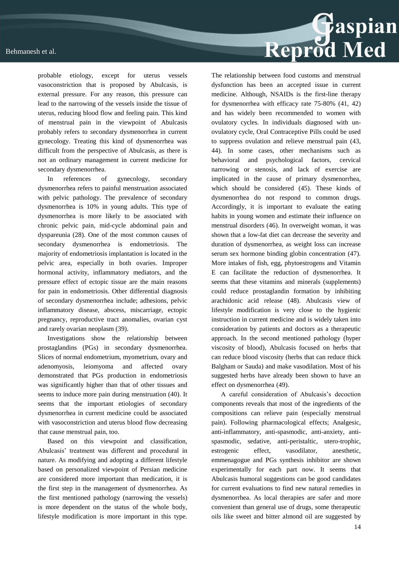probable etiology, except for uterus vessels vasoconstriction that is proposed by Abulcasis, is external pressure. For any reason, this pressure can lead to the narrowing of the vessels inside the tissue of uterus, reducing blood flow and feeling pain. This kind of menstrual pain in the viewpoint of Abulcasis probably refers to secondary dysmenorrhea in current gynecology. Treating this kind of dysmenorrhea was difficult from the perspective of Abulcasis, as there is not an ordinary management in current medicine for secondary dysmenorrhea.

In references of gynecology, secondary dysmenorrhea refers to painful menstruation associated with pelvic pathology. The prevalence of secondary dysmenorrhea is 10% in young adults. This type of dysmenorrhea is more likely to be associated with chronic pelvic pain, mid-cycle abdominal pain and dyspareunia (28). One of the most common causes of secondary dysmenorrhea is endometriosis. The majority of endometriosis implantation is located in the pelvic area, especially in both ovaries. Improper hormonal activity, inflammatory mediators, and the pressure effect of ectopic tissue are the main reasons for pain in endometriosis. Other differential diagnosis of secondary dysmenorrhea include; adhesions, pelvic inflammatory disease, abscess, miscarriage, ectopic pregnancy, reproductive tract anomalies, ovarian cyst and rarely ovarian neoplasm (39).

Investigations show the relationship between prostaglandins (PGs) in secondary dysmenorrhea. Slices of normal endometrium, myometrium, ovary and adenomyosis, leiomyoma and affected ovary demonstrated that PGs production in endometriosis was significantly higher than that of other tissues and seems to induce more pain during menstruation (40). It seems that the important etiologies of secondary dysmenorrhea in current medicine could be associated with vasoconstriction and uterus blood flow decreasing that cause menstrual pain, too.

Based on this viewpoint and classification, Abulcasis' treatment was different and procedural in nature. As modifying and adopting a different lifestyle based on personalized viewpoint of Persian medicine are considered more important than medication, it is the first step in the management of dysmenorrhea. As the first mentioned pathology (narrowing the vessels) is more dependent on the status of the whole body, lifestyle modification is more important in this type.



The relationship between food customs and menstrual dysfunction has been an accepted issue in current medicine. Although, NSAIDs is the first-line therapy for dysmenorrhea with efficacy rate 75-80% (41, 42) and has widely been recommended to women with ovulatory cycles. In individuals diagnosed with unovulatory cycle, Oral Contraceptive Pills could be used to suppress ovulation and relieve menstrual pain (43, 44). In some cases, other mechanisms such as behavioral and psychological factors, cervical narrowing or stenosis, and lack of exercise are implicated in the cause of primary dysmenorrhea, which should be considered (45). These kinds of dysmenorrhea do not respond to common drugs. Accordingly, it is important to evaluate the eating habits in young women and estimate their influence on menstrual disorders (46). In overweight woman, it was shown that a low-fat diet can decrease the severity and duration of dysmenorrhea, as weight loss can increase serum sex hormone binding globin concentration (47). More intakes of fish, egg, phytoestrogens and Vitamin E can facilitate the reduction of dysmenorrhea. It seems that these vitamins and minerals (supplements) could reduce prostaglandin formation by inhibiting arachidonic acid release (48). Abulcasis view of lifestyle modification is very close to the hygienic instruction in current medicine and is widely taken into consideration by patients and doctors as a therapeutic approach. In the second mentioned pathology (hyper viscosity of blood), Abulcasis focused on herbs that can reduce blood viscosity (herbs that can reduce thick Balgham or Sauda) and make vasodilation. Most of his suggested herbs have already been shown to have an effect on dysmenorrhea (49).

A careful consideration of Abulcasis's decoction components reveals that most of the ingredients of the compositions can relieve pain (especially menstrual pain). Following pharmacological effects; Analgesic, anti-inflammatory, anti-spasmodic, anti-anxiety, antispasmodic, sedative, anti-peristaltic, utero-trophic, estrogenic effect, vasodilator, anesthetic, emmenagogue and PGs synthesis inhibitor are shown experimentally for each part now. It seems that Abulcasis humoral suggestions can be good candidates for current evaluations to find new natural remedies in dysmenorrhea. As local therapies are safer and more convenient than general use of drugs, some therapeutic oils like sweet and bitter almond oil are suggested by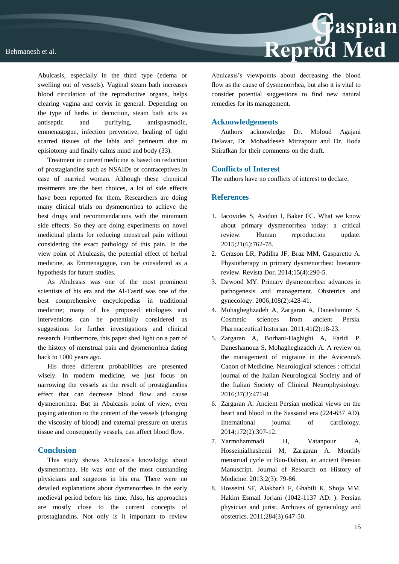

Treatment in current medicine is based on reduction of prostaglandins such as NSAIDs or contraceptives in case of married woman. Although these chemical treatments are the best choices, a lot of side effects have been reported for them. Researchers are doing many clinical trials on dysmenorrhea to achieve the best drugs and recommendations with the minimum side effects. So they are doing experiments on novel medicinal plants for reducing menstrual pain without considering the exact pathology of this pain. In the view point of Abulcasis, the potential effect of herbal medicine, as Emmenagogue, can be considered as a hypothesis for future studies.

As Abulcasis was one of the most prominent scientists of his era and the Al-Tasrif was one of the best comprehensive encyclopedias in traditional medicine; many of his proposed etiologies and interventions can be potentially considered as suggestions for further investigations and clinical research. Furthermore, this paper shed light on a part of the history of menstrual pain and dysmenorrhea dating back to 1000 years ago.

His three different probabilities are presented wisely. In modern medicine, we just focus on narrowing the vessels as the result of prostaglandins effect that can decrease blood flow and cause dysmenorrhea. But in Abulcasis point of view, even paying attention to the content of the vessels (changing the viscosity of blood) and external pressure on uterus tissue and consequently vessels, can affect blood flow.

### **Conclusion**

This study shows Abulcasis's knowledge about dysmenorrhea. He was one of the most outstanding physicians and surgeons in his era. There were no detailed explanations about dysmenorrhea in the early medieval period before his time. Also, his approaches are mostly close to the current concepts of prostaglandins. Not only is it important to review

Reprod Med

Abulcasis's viewpoints about decreasing the blood flow as the cause of dysmenorrhea, but also it is vital to consider potential suggestions to find new natural remedies for its management.

### **Acknowledgements**

Authors acknowledge Dr. Moloud Agajani Delavar, Dr. Mohaddeseh Mirzapour and Dr. Hoda Shirafkan for their comments on the draft.

### **Conflicts of Interest**

The authors have no conflicts of interest to declare.

### **References**

- 1. Iacovides S, Avidon I, Baker FC. What we know about primary dysmenorrhea today: a critical review. Human reproduction update. 2015;21(6):762-78.
- 2. Gerzson LR, Padilha JF, Braz MM, Gasparetto A. Physiotherapy in primary dysmenorrhea: literature review. Revista Dor. 2014;15(4):290-5.
- 3. Dawood MY. Primary dysmenorrhea: advances in pathogenesis and management. Obstetrics and gynecology. 2006;108(2):428-41.
- 4. Mohagheghzadeh A, Zargaran A, Daneshamuz S. Cosmetic sciences from ancient Persia. Pharmaceutical historian. 2011;41(2):18-23.
- 5. Zargaran A, Borhani-Haghighi A, Faridi P, Daneshamouz S, Mohagheghzadeh A. A review on the management of migraine in the Avicenna's Canon of Medicine. Neurological sciences : official journal of the Italian Neurological Society and of the Italian Society of Clinical Neurophysiology. 2016;37(3):471-8.
- 6. Zargaran A. Ancient Persian medical views on the heart and blood in the Sassanid era (224-637 AD). International journal of cardiology. 2014;172(2):307-12.
- 7. Yarmohammadi H, Vatanpour A, Hosseinialhashemi M, Zargaran A. Monthly menstrual cycle in Bun-Dahisn, an ancient Persian Manuscript. Journal of Research on History of Medicine. 2013;2(3): 79-86.
- 8. Hosseini SF, Alakbarli F, Ghabili K, Shoja MM. Hakim Esmail Jorjani (1042-1137 AD: ): Persian physician and jurist. Archives of gynecology and obstetrics. 2011;284(3):647-50.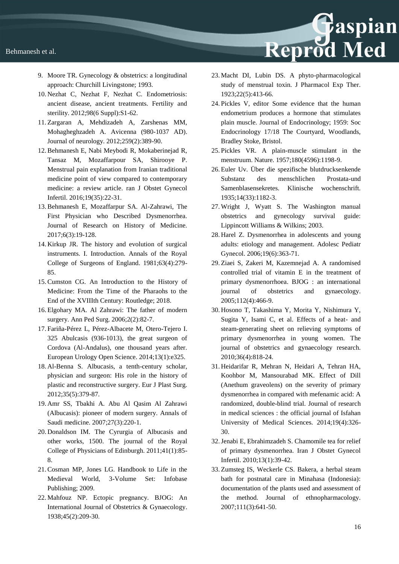- 9. Moore TR. Gynecology & obstetrics: a longitudinal approach: Churchill Livingstone; 1993.
- 10. Nezhat C, Nezhat F, Nezhat C. Endometriosis: ancient disease, ancient treatments. Fertility and sterility. 2012;98(6 Suppl):S1-62.
- 11. Zargaran A, Mehdizadeh A, Zarshenas MM, Mohagheghzadeh A. Avicenna (980-1037 AD). Journal of neurology. 2012;259(2):389-90.
- 12.Behmanesh E, Nabi Meybodi R, Mokaberinejad R, Tansaz M, Mozaffarpour SA, Shirooye P. Menstrual pain explanation from Iranian traditional medicine point of view compared to contemporary medicine: a review article. ran J Obstet Gynecol Infertil. 2016;19(35):22-31.
- 13.Behmanesh E, Mozaffarpur SA. Al-Zahrawi, The First Physician who Described Dysmenorrhea. Journal of Research on History of Medicine. 2017;6(3):19-128.
- 14. Kirkup JR. The history and evolution of surgical instruments. I. Introduction. Annals of the Royal College of Surgeons of England. 1981;63(4):279- 85.
- 15.Cumston CG. An Introduction to the History of Medicine: From the Time of the Pharaohs to the End of the XVIIIth Century: Routledge; 2018.
- 16. Elgohary MA. Al Zahrawi: The father of modern surgery. Ann Ped Surg. 2006;2(2):82-7.
- 17. Fariña-Pérez L, Pérez-Albacete M, Otero-Tejero I. 325 Abulcasis (936-1013), the great surgeon of Cordova (Al-Andalus), one thousand years after. European Urology Open Science. 2014;13(1):e325.
- 18. Al-Benna S. Albucasis, a tenth-century scholar, physician and surgeon: His role in the history of plastic and reconstructive surgery. Eur J Plast Surg. 2012;35(5):379-87.
- 19. Amr SS, Tbakhi A. Abu Al Qasim Al Zahrawi (Albucasis): pioneer of modern surgery. Annals of Saudi medicine. 2007;27(3):220-1.
- 20. Donaldson IM. The Cyrurgia of Albucasis and other works, 1500. The journal of the Royal College of Physicians of Edinburgh. 2011;41(1):85- 8.
- 21.Cosman MP, Jones LG. Handbook to Life in the Medieval World, 3-Volume Set: Infobase Publishing; 2009.
- 22. Mahfouz NP. Ectopic pregnancy. BJOG: An International Journal of Obstetrics & Gynaecology. 1938;45(2):209-30.

23. Macht DI, Lubin DS. A phyto-pharmacological study of menstrual toxin. J Pharmacol Exp Ther. 1923;22(5):413-66.

Reprod Med

- 24. Pickles V, editor Some evidence that the human endometrium produces a hormone that stimulates plain muscle. Journal of Endocrinology; 1959: Soc Endocrinology 17/18 The Courtyard, Woodlands, Bradley Stoke, Bristol.
- 25. Pickles VR. A plain-muscle stimulant in the menstruum. Nature. 1957;180(4596):1198-9.
- 26. Euler Uv. Über die spezifische blutdrucksenkende Substanz des menschlichen Prostata-und Samenblasensekretes. Klinische wochenschrift. 1935;14(33):1182-3.
- 27. Wright J, Wyatt S. The Washington manual obstetrics and gynecology survival guide: Lippincott Williams & Wilkins; 2003.
- 28. Harel Z. Dysmenorrhea in adolescents and young adults: etiology and management. Adolesc Pediatr Gynecol. 2006;19(6):363-71.
- 29. Ziaei S, Zakeri M, Kazemnejad A. A randomised controlled trial of vitamin E in the treatment of primary dysmenorrhoea. BJOG : an international journal of obstetrics and gynaecology. 2005;112(4):466-9.
- 30. Hosono T, Takashima Y, Morita Y, Nishimura Y, Sugita Y, Isami C, et al. Effects of a heat- and steam-generating sheet on relieving symptoms of primary dysmenorrhea in young women. The journal of obstetrics and gynaecology research. 2010;36(4):818-24.
- 31. Heidarifar R, Mehran N, Heidari A, Tehran HA, Koohbor M, Mansourabad MK. Effect of Dill (Anethum graveolens) on the severity of primary dysmenorrhea in compared with mefenamic acid: A randomized, double-blind trial. Journal of research in medical sciences : the official journal of Isfahan University of Medical Sciences. 2014;19(4):326- 30.
- 32.Jenabi E, Ebrahimzadeh S. Chamomile tea for relief of primary dysmenorrhea. Iran J Obstet Gynecol Infertil. 2010;13(1):39-42.
- 33. Zumsteg IS, Weckerle CS. Bakera, a herbal steam bath for postnatal care in Minahasa (Indonesia): documentation of the plants used and assessment of the method. Journal of ethnopharmacology. 2007;111(3):641-50.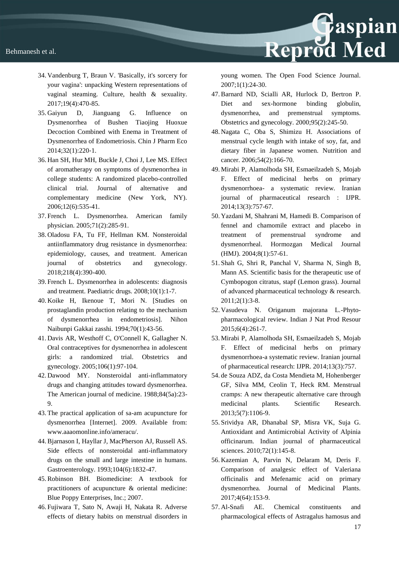

- 34. Vandenburg T, Braun V. 'Basically, it's sorcery for your vagina': unpacking Western representations of vaginal steaming. Culture, health & sexuality. 2017;19(4):470-85.
- 35. Gaiyun D, Jianguang G. Influence on Dysmenorrhea of Bushen Tiaojing Huoxue Decoction Combined with Enema in Treatment of Dysmenorrhea of Endometriosis. Chin J Pharm Eco 2014;32(1):220‐1.
- 36. Han SH, Hur MH, Buckle J, Choi J, Lee MS. Effect of aromatherapy on symptoms of dysmenorrhea in college students: A randomized placebo-controlled clinical trial. Journal of alternative and complementary medicine (New York, NY). 2006;12(6):535-41.
- 37. French L. Dysmenorrhea. American family physician. 2005;71(2):285-91.
- 38. Oladosu FA, Tu FF, Hellman KM. Nonsteroidal antiinflammatory drug resistance in dysmenorrhea: epidemiology, causes, and treatment. American journal of obstetrics and gynecology. 2018;218(4):390-400.
- 39. French L. Dysmenorrhea in adolescents: diagnosis and treatment. Paediatric drugs. 2008;10(1):1-7.
- 40. Koike H, Ikenoue T, Mori N. [Studies on prostaglandin production relating to the mechanism of dysmenorrhea in endometriosis]. Nihon Naibunpi Gakkai zasshi. 1994;70(1):43-56.
- 41. Davis AR, Westhoff C, O'Connell K, Gallagher N. Oral contraceptives for dysmenorrhea in adolescent girls: a randomized trial. Obstetrics and gynecology. 2005;106(1):97-104.
- 42. Dawood MY. Nonsteroidal anti-inflammatory drugs and changing attitudes toward dysmenorrhea. The American journal of medicine. 1988;84(5a):23- 9.
- 43. The practical application of sa-am acupuncture for dysmenorrhea [Internet]. 2009. Available from: www.aaaomonline.info/ameracu/.
- 44.Bjarnason I, Hayllar J, MacPherson AJ, Russell AS. Side effects of nonsteroidal anti-inflammatory drugs on the small and large intestine in humans. Gastroenterology. 1993;104(6):1832-47.
- 45.Robinson BH. Biomedicine: A textbook for practitioners of acupuncture & oriental medicine: Blue Poppy Enterprises, Inc.; 2007.
- 46. Fujiwara T, Sato N, Awaji H, Nakata R. Adverse effects of dietary habits on menstrual disorders in

young women. The Open Food Science Journal. 2007;1(1):24-30.

- 47.Barnard ND, Scialli AR, Hurlock D, Bertron P. Diet and sex-hormone binding globulin, dysmenorrhea, and premenstrual symptoms. Obstetrics and gynecology. 2000;95(2):245-50.
- 48. Nagata C, Oba S, Shimizu H. Associations of menstrual cycle length with intake of soy, fat, and dietary fiber in Japanese women. Nutrition and cancer. 2006;54(2):166-70.
- 49. Mirabi P, Alamolhoda SH, Esmaeilzadeh S, Mojab F. Effect of medicinal herbs on primary dysmenorrhoea- a systematic review. Iranian journal of pharmaceutical research : IJPR. 2014;13(3):757-67.
- 50. Yazdani M, Shahrani M, Hamedi B. Comparison of fennel and chamomile extract and placebo in treatment of premenstrual syndrome and dysmenorrheal. Hormozgan Medical Journal (HMJ). 2004;8(1):57-61.
- 51. Shah G, Shri R, Panchal V, Sharma N, Singh B, Mann AS. Scientific basis for the therapeutic use of Cymbopogon citratus, stapf (Lemon grass). Journal of advanced pharmaceutical technology & research. 2011;2(1):3-8.
- 52. Vasudeva N. Origanum majorana L.-Phytopharmacological review. Indian J Nat Prod Resour 2015;6(4):261-7.
- 53. Mirabi P, Alamolhoda SH, Esmaeilzadeh S, Mojab F. Effect of medicinal herbs on primary dysmenorrhoea-a systematic review. Iranian journal of pharmaceutical research: IJPR. 2014;13(3):757.
- 54. de Souza ADZ, da Costa Mendieta M, Hohenberger GF, Silva MM, Ceolin T, Heck RM. Menstrual cramps: A new therapeutic alternative care through medicinal plants. Scientific Research. 2013;5(7):1106-9.
- 55. Srividya AR, Dhanabal SP, Misra VK, Suja G. Antioxidant and Antimicrobial Activity of Alpinia officinarum. Indian journal of pharmaceutical sciences. 2010;72(1):145-8.
- 56. Kazemian A, Parvin N, Delaram M, Deris F. Comparison of analgesic effect of Valeriana officinalis and Mefenamic acid on primary dysmenorrhea. Journal of Medicinal Plants. 2017;4(64):153-9.
- 57. Al-Snafi AE. Chemical constituents and pharmacological effects of Astragalus hamosus and